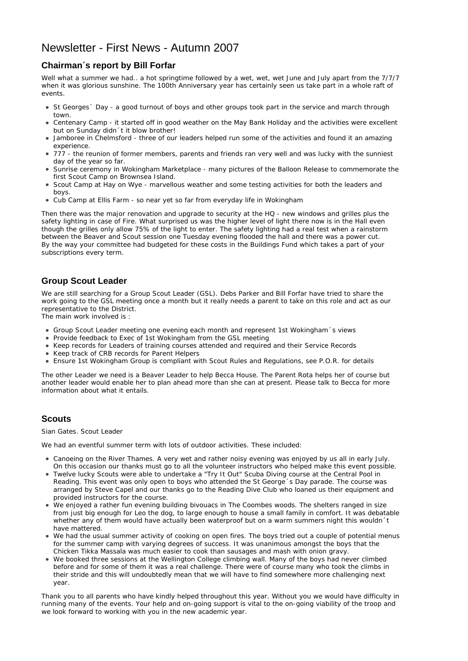## Newsletter - First News - Autumn 2007

## **Chairman´s report by Bill Forfar**

Well what a summer we had.. a hot springtime followed by a wet, wet, wet June and July apart from the 7/7/7 when it was glorious sunshine. The 100th Anniversary year has certainly seen us take part in a whole raft of events.

- St Georges  $\epsilon$  Day a good turnout of boys and other groups took part in the service and march through town.
- Centenary Camp it started off in good weather on the May Bank Holiday and the activities were excellent but on Sunday didn´t it blow brother!
- Jamboree in Chelmsford three of our leaders helped run some of the activities and found it an amazing experience.
- 777 the reunion of former members, parents and friends ran very well and was lucky with the sunniest day of the year so far.
- Sunrise ceremony in Wokingham Marketplace many pictures of the Balloon Release to commemorate the first Scout Camp on Brownsea Island.
- Scout Camp at Hay on Wye marvellous weather and some testing activities for both the leaders and boys.
- Cub Camp at Ellis Farm so near yet so far from everyday life in Wokingham

Then there was the major renovation and upgrade to security at the HQ - new windows and grilles plus the safety lighting in case of Fire. What surprised us was the higher level of light there now is in the Hall even though the grilles only allow 75% of the light to enter. The safety lighting had a real test when a rainstorm between the Beaver and Scout session one Tuesday evening flooded the hall and there was a power cut. By the way your committee had budgeted for these costs in the Buildings Fund which takes a part of your subscriptions every term.

## **Group Scout Leader**

We are still searching for a Group Scout Leader (GSL). Debs Parker and Bill Forfar have tried to share the work going to the GSL meeting once a month but it really needs a parent to take on this role and act as our representative to the District.

The main work involved is :

- Group Scout Leader meeting one evening each month and represent 1st Wokingham´s views
- Provide feedback to Exec of 1st Wokingham from the GSL meeting
- Keep records for Leaders of training courses attended and required and their Service Records
- Keep track of CRB records for Parent Helpers
- Ensure 1st Wokingham Group is compliant with Scout Rules and Regulations, see P.O.R. for details

The other Leader we need is a Beaver Leader to help Becca House. The Parent Rota helps her of course but another leader would enable her to plan ahead more than she can at present. Please talk to Becca for more information about what it entails.

## **Scouts**

Sian Gates. Scout Leader

We had an eventful summer term with lots of outdoor activities. These included:

- Canoeing on the River Thames. A very wet and rather noisy evening was enjoyed by us all in early July. On this occasion our thanks must go to all the volunteer instructors who helped make this event possible.
- Twelve lucky Scouts were able to undertake a "Try It Out" Scuba Diving course at the Central Pool in Reading. This event was only open to boys who attended the St George´s Day parade. The course was arranged by Steve Capel and our thanks go to the Reading Dive Club who loaned us their equipment and provided instructors for the course.
- We enjoyed a rather fun evening building bivouacs in The Coombes woods. The shelters ranged in size from just big enough for Leo the dog, to large enough to house a small family in comfort. It was debatable whether any of them would have actually been waterproof but on a warm summers night this wouldn´t have mattered.
- We had the usual summer activity of cooking on open fires. The boys tried out a couple of potential menus for the summer camp with varying degrees of success. It was unanimous amongst the boys that the Chicken Tikka Massala was much easier to cook than sausages and mash with onion gravy.
- We booked three sessions at the Wellington College climbing wall. Many of the boys had never climbed before and for some of them it was a real challenge. There were of course many who took the climbs in their stride and this will undoubtedly mean that we will have to find somewhere more challenging next year.

Thank you to all parents who have kindly helped throughout this year. Without you we would have difficulty in running many of the events. Your help and on-going support is vital to the on-going viability of the troop and we look forward to working with you in the new academic year.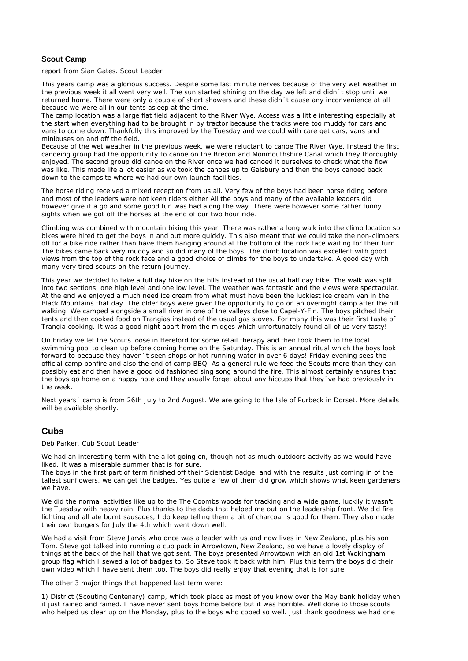#### **Scout Camp**

report from Sian Gates. Scout Leader

This years camp was a glorious success. Despite some last minute nerves because of the very wet weather in the previous week it all went very well. The sun started shining on the day we left and didn´t stop until we returned home. There were only a couple of short showers and these didn´t cause any inconvenience at all because we were all in our tents asleep at the time.

The camp location was a large flat field adjacent to the River Wye. Access was a little interesting especially at the start when everything had to be brought in by tractor because the tracks were too muddy for cars and vans to come down. Thankfully this improved by the Tuesday and we could with care get cars, vans and minibuses on and off the field.

Because of the wet weather in the previous week, we were reluctant to canoe The River Wye. Instead the first canoeing group had the opportunity to canoe on the Brecon and Monmouthshire Canal which they thoroughly enjoyed. The second group did canoe on the River once we had canoed it ourselves to check what the flow was like. This made life a lot easier as we took the canoes up to Galsbury and then the boys canoed back down to the campsite where we had our own launch facilities.

The horse riding received a mixed reception from us all. Very few of the boys had been horse riding before and most of the leaders were not keen riders either All the boys and many of the available leaders did however give it a go and some good fun was had along the way. There were however some rather funny sights when we got off the horses at the end of our two hour ride.

Climbing was combined with mountain biking this year. There was rather a long walk into the climb location so bikes were hired to get the boys in and out more quickly. This also meant that we could take the non-climbers off for a bike ride rather than have them hanging around at the bottom of the rock face waiting for their turn. The bikes came back very muddy and so did many of the boys. The climb location was excellent with good views from the top of the rock face and a good choice of climbs for the boys to undertake. A good day with many very tired scouts on the return journey.

This year we decided to take a full day hike on the hills instead of the usual half day hike. The walk was split into two sections, one high level and one low level. The weather was fantastic and the views were spectacular. At the end we enjoyed a much need ice cream from what must have been the luckiest ice cream van in the Black Mountains that day. The older boys were given the opportunity to go on an overnight camp after the hill walking. We camped alongside a small river in one of the valleys close to Capel-Y-Fin. The boys pitched their tents and then cooked food on Trangias instead of the usual gas stoves. For many this was their first taste of Trangia cooking. It was a good night apart from the midges which unfortunately found all of us very tasty!

On Friday we let the Scouts loose in Hereford for some retail therapy and then took them to the local swimming pool to clean up before coming home on the Saturday. This is an annual ritual which the boys look forward to because they haven´t seen shops or hot running water in over 6 days! Friday evening sees the official camp bonfire and also the end of camp BBQ. As a general rule we feed the Scouts more than they can possibly eat and then have a good old fashioned sing song around the fire. This almost certainly ensures that the boys go home on a happy note and they usually forget about any hiccups that they´ve had previously in the week.

Next years´ camp is from 26th July to 2nd August. We are going to the Isle of Purbeck in Dorset. More details will be available shortly.

## **Cubs**

Deb Parker. Cub Scout Leader

We had an interesting term with the a lot going on, though not as much outdoors activity as we would have liked. It was a miserable summer that is for sure.

The boys in the first part of term finished off their Scientist Badge, and with the results just coming in of the tallest sunflowers, we can get the badges. Yes quite a few of them did grow which shows what keen gardeners we have.

We did the normal activities like up to the The Coombs woods for tracking and a wide game, luckily it wasn't the Tuesday with heavy rain. Plus thanks to the dads that helped me out on the leadership front. We did fire lighting and all ate burnt sausages, I do keep telling them a bit of charcoal is good for them. They also made their own burgers for July the 4th which went down well.

We had a visit from Steve Jarvis who once was a leader with us and now lives in New Zealand, plus his son Tom. Steve got talked into running a cub pack in Arrowtown, New Zealand, so we have a lovely display of things at the back of the hall that we got sent. The boys presented Arrowtown with an old 1st Wokingham group flag which I sewed a lot of badges to. So Steve took it back with him. Plus this term the boys did their own video which I have sent them too. The boys did really enjoy that evening that is for sure.

The other 3 major things that happened last term were:

1) District (Scouting Centenary) camp, which took place as most of you know over the May bank holiday when it just rained and rained. I have never sent boys home before but it was horrible. Well done to those scouts who helped us clear up on the Monday, plus to the boys who coped so well. Just thank goodness we had one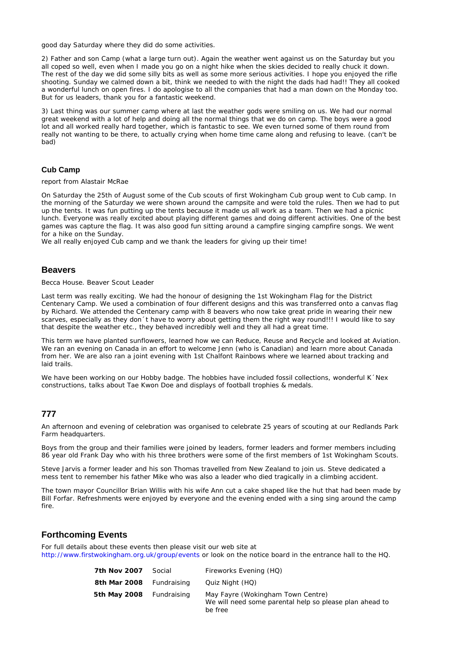good day Saturday where they did do some activities.

2) Father and son Camp (what a large turn out). Again the weather went against us on the Saturday but you all coped so well, even when I made you go on a night hike when the skies decided to really chuck it down. The rest of the day we did some silly bits as well as some more serious activities. I hope you enjoyed the rifle shooting. Sunday we calmed down a bit, think we needed to with the night the dads had had!! They all cooked a wonderful lunch on open fires. I do apologise to all the companies that had a man down on the Monday too. But for us leaders, thank you for a fantastic weekend.

3) Last thing was our summer camp where at last the weather gods were smiling on us. We had our normal great weekend with a lot of help and doing all the normal things that we do on camp. The boys were a good lot and all worked really hard together, which is fantastic to see. We even turned some of them round from really not wanting to be there, to actually crying when home time came along and refusing to leave. (can't be bad)

#### **Cub Camp**

report from Alastair McRae

On Saturday the 25th of August some of the Cub scouts of first Wokingham Cub group went to Cub camp. In the morning of the Saturday we were shown around the campsite and were told the rules. Then we had to put up the tents. It was fun putting up the tents because it made us all work as a team. Then we had a picnic lunch. Everyone was really excited about playing different games and doing different activities. One of the best games was capture the flag. It was also good fun sitting around a campfire singing campfire songs. We went for a hike on the Sunday.

We all really enjoyed Cub camp and we thank the leaders for giving up their time!

#### **Beavers**

Becca House. Beaver Scout Leader

Last term was really exciting. We had the honour of designing the 1st Wokingham Flag for the District Centenary Camp. We used a combination of four different designs and this was transferred onto a canvas flag by Richard. We attended the Centenary camp with 8 beavers who now take great pride in wearing their new scarves, especially as they don´t have to worry about getting them the right way round!!! I would like to say that despite the weather etc., they behaved incredibly well and they all had a great time.

This term we have planted sunflowers, learned how we can Reduce, Reuse and Recycle and looked at Aviation. We ran an evening on Canada in an effort to welcome Jenn (who is Canadian) and learn more about Canada from her. We are also ran a joint evening with 1st Chalfont Rainbows where we learned about tracking and laid trails.

We have been working on our Hobby badge. The hobbies have included fossil collections, wonderful K´Nex constructions, talks about Tae Kwon Doe and displays of football trophies & medals.

#### **777**

An afternoon and evening of celebration was organised to celebrate 25 years of scouting at our Redlands Park Farm headquarters.

Boys from the group and their families were joined by leaders, former leaders and former members including 86 year old Frank Day who with his three brothers were some of the first members of 1st Wokingham Scouts.

Steve Jarvis a former leader and his son Thomas travelled from New Zealand to join us. Steve dedicated a mess tent to remember his father Mike who was also a leader who died tragically in a climbing accident.

The town mayor Councillor Brian Willis with his wife Ann cut a cake shaped like the hut that had been made by Bill Forfar. Refreshments were enjoyed by everyone and the evening ended with a sing sing around the camp fire.

## **Forthcoming Events**

For full details about these events then please visit our web site at http://www.firstwokingham.org.uk/group/events or look on the notice board in the entrance hall to the HQ.

| 7th Nov 2007             | Social | Fireworks Evening (HQ)                                                                                  |
|--------------------------|--------|---------------------------------------------------------------------------------------------------------|
| 8th Mar 2008 Fundraising |        | Quiz Night (HQ)                                                                                         |
| 5th May 2008 Fundraising |        | May Fayre (Wokingham Town Centre)<br>We will need some parental help so please plan ahead to<br>be free |